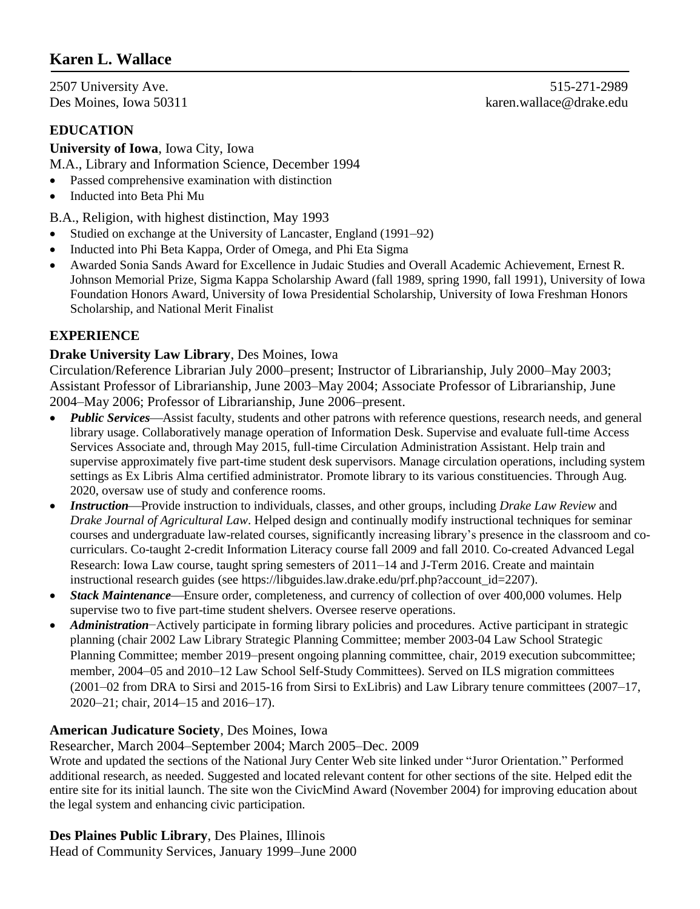# **Karen L. Wallace**

**EDUCATION**

**University of Iowa**, Iowa City, Iowa M.A., Library and Information Science, December 1994

- Passed comprehensive examination with distinction
- Inducted into Beta Phi Mu

B.A., Religion, with highest distinction, May 1993

- Studied on exchange at the University of Lancaster, England (1991–92)
- Inducted into Phi Beta Kappa, Order of Omega, and Phi Eta Sigma
- Awarded Sonia Sands Award for Excellence in Judaic Studies and Overall Academic Achievement, Ernest R. Johnson Memorial Prize, Sigma Kappa Scholarship Award (fall 1989, spring 1990, fall 1991), University of Iowa Foundation Honors Award, University of Iowa Presidential Scholarship, University of Iowa Freshman Honors Scholarship, and National Merit Finalist

## **EXPERIENCE**

#### **Drake University Law Library**, Des Moines, Iowa

Circulation/Reference Librarian July 2000–present; Instructor of Librarianship, July 2000–May 2003; Assistant Professor of Librarianship, June 2003–May 2004; Associate Professor of Librarianship, June 2004–May 2006; Professor of Librarianship, June 2006–present.

- *Public Services*—Assist faculty, students and other patrons with reference questions, research needs, and general library usage. Collaboratively manage operation of Information Desk. Supervise and evaluate full-time Access Services Associate and, through May 2015, full-time Circulation Administration Assistant. Help train and supervise approximately five part-time student desk supervisors. Manage circulation operations, including system settings as Ex Libris Alma certified administrator. Promote library to its various constituencies. Through Aug. 2020, oversaw use of study and conference rooms.
- *Instruction*—Provide instruction to individuals, classes, and other groups, including *Drake Law Review* and *Drake Journal of Agricultural Law*. Helped design and continually modify instructional techniques for seminar courses and undergraduate law-related courses, significantly increasing library's presence in the classroom and cocurriculars. Co-taught 2-credit Information Literacy course fall 2009 and fall 2010. Co-created Advanced Legal Research: Iowa Law course, taught spring semesters of 2011–14 and J-Term 2016. Create and maintain instructional research guides (see https://libguides.law.drake.edu/prf.php?account\_id=2207).
- *Stack Maintenance*—Ensure order, completeness, and currency of collection of over 400,000 volumes. Help supervise two to five part-time student shelvers. Oversee reserve operations.
- *Administration*−Actively participate in forming library policies and procedures. Active participant in strategic planning (chair 2002 Law Library Strategic Planning Committee; member 2003-04 Law School Strategic Planning Committee; member 2019–present ongoing planning committee, chair, 2019 execution subcommittee; member, 2004–05 and 2010–12 Law School Self-Study Committees). Served on ILS migration committees (2001–02 from DRA to Sirsi and 2015-16 from Sirsi to ExLibris) and Law Library tenure committees (2007–17, 2020–21; chair, 2014–15 and 2016–17).

## **American Judicature Society**, Des Moines, Iowa

Researcher, March 2004–September 2004; March 2005–Dec. 2009

Wrote and updated the sections of the National Jury Center Web site linked under "Juror Orientation." Performed additional research, as needed. Suggested and located relevant content for other sections of the site. Helped edit the entire site for its initial launch. The site won the CivicMind Award (November 2004) for improving education about the legal system and enhancing civic participation.

**Des Plaines Public Library**, Des Plaines, Illinois Head of Community Services, January 1999–June 2000

2507 University Ave. 515-271-2989 Des Moines, Iowa 50311 karen.wallace@drake.edu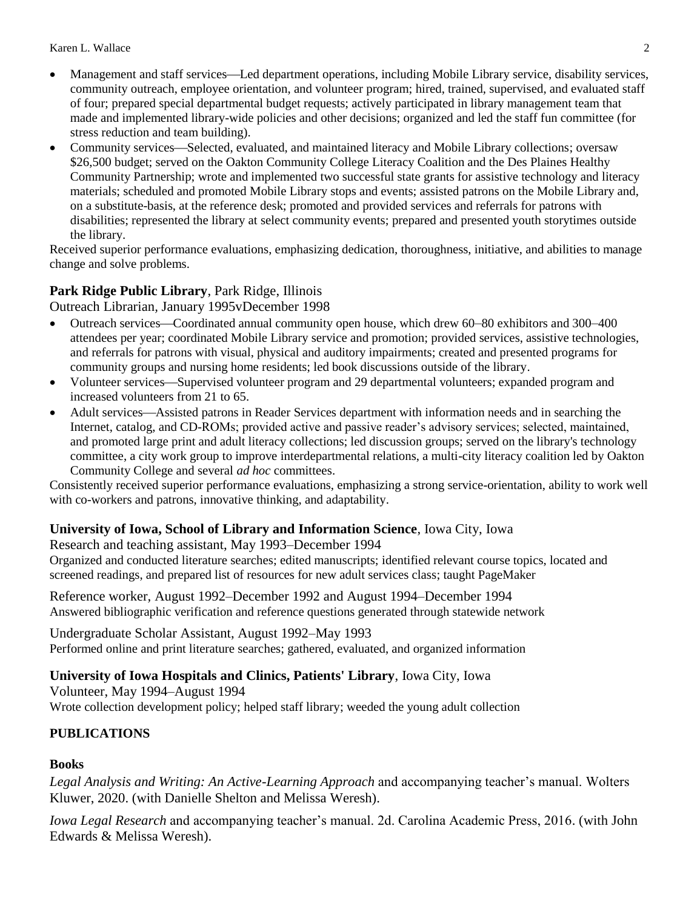- Management and staff services—Led department operations, including Mobile Library service, disability services, community outreach, employee orientation, and volunteer program; hired, trained, supervised, and evaluated staff of four; prepared special departmental budget requests; actively participated in library management team that made and implemented library-wide policies and other decisions; organized and led the staff fun committee (for stress reduction and team building).
- Community services—Selected, evaluated, and maintained literacy and Mobile Library collections; oversaw \$26,500 budget; served on the Oakton Community College Literacy Coalition and the Des Plaines Healthy Community Partnership; wrote and implemented two successful state grants for assistive technology and literacy materials; scheduled and promoted Mobile Library stops and events; assisted patrons on the Mobile Library and, on a substitute-basis, at the reference desk; promoted and provided services and referrals for patrons with disabilities; represented the library at select community events; prepared and presented youth storytimes outside the library.

Received superior performance evaluations, emphasizing dedication, thoroughness, initiative, and abilities to manage change and solve problems.

### **Park Ridge Public Library**, Park Ridge, Illinois

Outreach Librarian*,* January 1995vDecember 1998

- Outreach services—Coordinated annual community open house, which drew 60–80 exhibitors and 300–400 attendees per year; coordinated Mobile Library service and promotion; provided services, assistive technologies, and referrals for patrons with visual, physical and auditory impairments; created and presented programs for community groups and nursing home residents; led book discussions outside of the library.
- Volunteer services—Supervised volunteer program and 29 departmental volunteers; expanded program and increased volunteers from 21 to 65.
- Adult services—Assisted patrons in Reader Services department with information needs and in searching the Internet, catalog, and CD-ROMs; provided active and passive reader's advisory services; selected, maintained, and promoted large print and adult literacy collections; led discussion groups; served on the library's technology committee, a city work group to improve interdepartmental relations, a multi-city literacy coalition led by Oakton Community College and several *ad hoc* committees.

Consistently received superior performance evaluations, emphasizing a strong service-orientation, ability to work well with co-workers and patrons, innovative thinking, and adaptability.

#### **University of Iowa, School of Library and Information Science**, Iowa City, Iowa

Research and teaching assistant, May 1993–December 1994

Organized and conducted literature searches; edited manuscripts; identified relevant course topics, located and screened readings, and prepared list of resources for new adult services class; taught PageMaker

Reference worker*,* August 1992–December 1992 and August 1994–December 1994 Answered bibliographic verification and reference questions generated through statewide network

Undergraduate Scholar Assistant, August 1992–May 1993 Performed online and print literature searches; gathered, evaluated, and organized information

#### **University of Iowa Hospitals and Clinics, Patients' Library**, Iowa City, Iowa

Volunteer, May 1994–August 1994 Wrote collection development policy; helped staff library; weeded the young adult collection

#### **PUBLICATIONS**

#### **Books**

*Legal Analysis and Writing: An Active-Learning Approach* and accompanying teacher's manual. Wolters Kluwer, 2020. (with Danielle Shelton and Melissa Weresh).

*Iowa Legal Research* and accompanying teacher's manual. 2d. Carolina Academic Press, 2016. (with John Edwards & Melissa Weresh).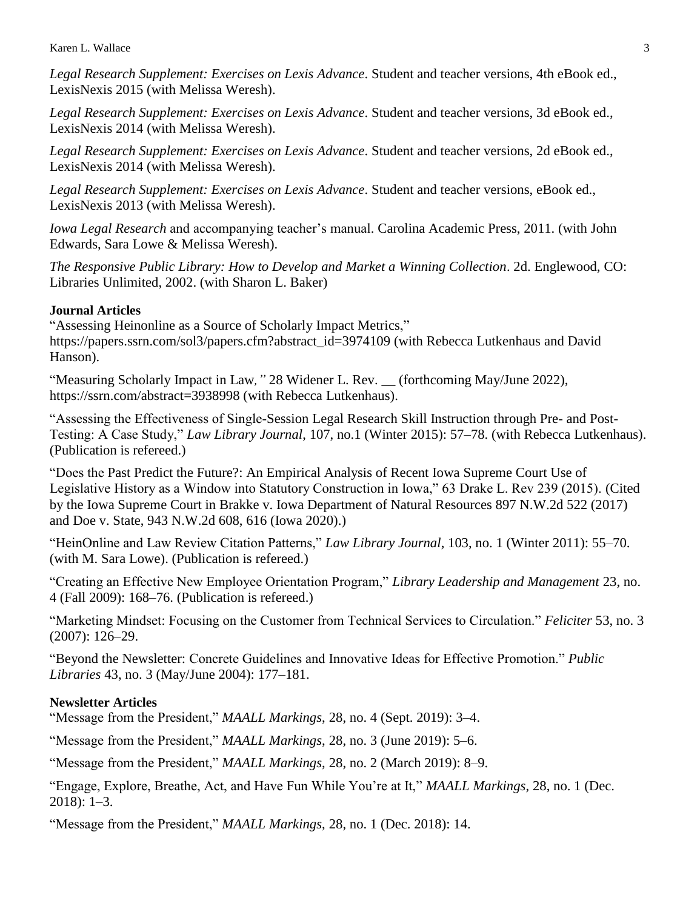Karen L. Wallace 3

*Legal Research Supplement: Exercises on Lexis Advance*. Student and teacher versions, 4th eBook ed., LexisNexis 2015 (with Melissa Weresh).

*Legal Research Supplement: Exercises on Lexis Advance*. Student and teacher versions, 3d eBook ed., LexisNexis 2014 (with Melissa Weresh).

*Legal Research Supplement: Exercises on Lexis Advance*. Student and teacher versions, 2d eBook ed., LexisNexis 2014 (with Melissa Weresh).

*Legal Research Supplement: Exercises on Lexis Advance*. Student and teacher versions, eBook ed., LexisNexis 2013 (with Melissa Weresh).

*Iowa Legal Research* and accompanying teacher's manual. Carolina Academic Press, 2011. (with John Edwards, Sara Lowe & Melissa Weresh).

*The Responsive Public Library: How to Develop and Market a Winning Collection*. 2d. Englewood, CO: Libraries Unlimited, 2002. (with Sharon L. Baker)

#### **Journal Articles**

"Assessing Heinonline as a Source of Scholarly Impact Metrics," https://papers.ssrn.com/sol3/papers.cfm?abstract\_id=3974109 (with Rebecca Lutkenhaus and David Hanson).

"Measuring Scholarly Impact in Law*,"* 28 Widener L. Rev. \_\_ (forthcoming May/June 2022), https://ssrn.com/abstract=3938998 (with Rebecca Lutkenhaus).

"Assessing the Effectiveness of Single-Session Legal Research Skill Instruction through Pre- and Post-Testing: A Case Study," *Law Library Journal*, 107, no.1 (Winter 2015): 57–78. (with Rebecca Lutkenhaus). (Publication is refereed.)

"Does the Past Predict the Future?: An Empirical Analysis of Recent Iowa Supreme Court Use of Legislative History as a Window into Statutory Construction in Iowa," 63 Drake L. Rev 239 (2015). (Cited by the Iowa Supreme Court in Brakke v. Iowa Department of Natural Resources 897 N.W.2d 522 (2017) and Doe v. State, 943 N.W.2d 608, 616 (Iowa 2020).)

"HeinOnline and Law Review Citation Patterns," *Law Library Journal*, 103, no. 1 (Winter 2011): 55–70. (with M. Sara Lowe). (Publication is refereed.)

"Creating an Effective New Employee Orientation Program," *Library Leadership and Management* 23, no. 4 (Fall 2009): 168–76. (Publication is refereed.)

"Marketing Mindset: Focusing on the Customer from Technical Services to Circulation." *Feliciter* 53, no. 3 (2007): 126–29.

"Beyond the Newsletter: Concrete Guidelines and Innovative Ideas for Effective Promotion." *Public Libraries* 43, no. 3 (May/June 2004): 177–181.

#### **Newsletter Articles**

"Message from the President," *MAALL Markings*, 28, no. 4 (Sept. 2019): 3–4.

"Message from the President," *MAALL Markings*, 28, no. 3 (June 2019): 5–6.

"Message from the President," *MAALL Markings*, 28, no. 2 (March 2019): 8–9.

"Engage, Explore, Breathe, Act, and Have Fun While You're at It," *MAALL Markings*, 28, no. 1 (Dec. 2018): 1–3.

"Message from the President," *MAALL Markings*, 28, no. 1 (Dec. 2018): 14.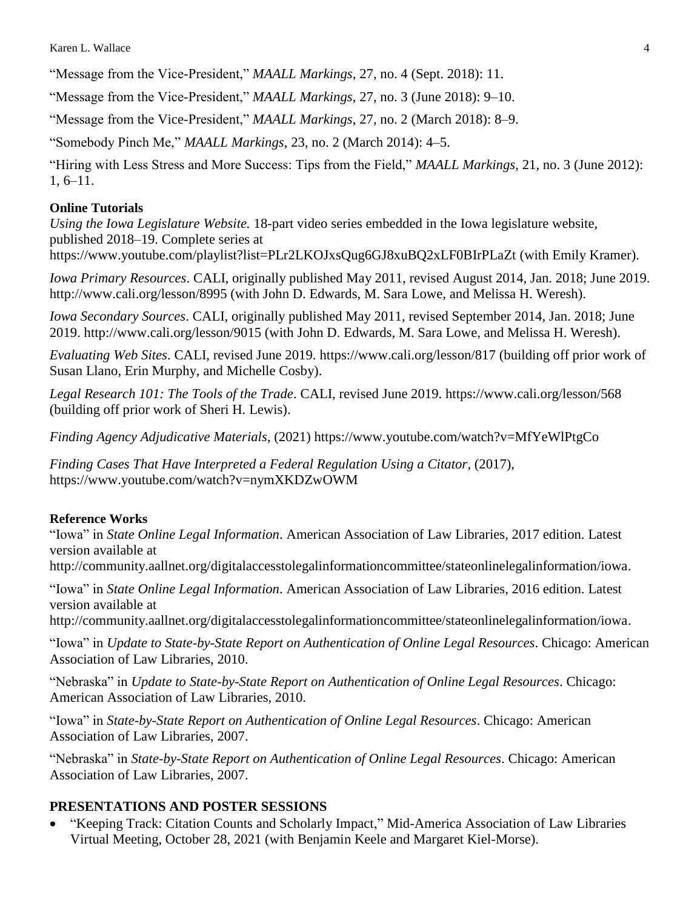"Message from the Vice-President," *MAALL Markings*, 27, no. 4 (Sept. 2018): 11.

"Message from the Vice-President," *MAALL Markings*, 27, no. 3 (June 2018): 9–10.

"Message from the Vice-President," *MAALL Markings*, 27, no. 2 (March 2018): 8–9.

"Somebody Pinch Me," *MAALL Markings*, 23, no. 2 (March 2014): 4–5.

"Hiring with Less Stress and More Success: Tips from the Field," *MAALL Markings*, 21, no. 3 (June 2012): 1, 6–11.

### **Online Tutorials**

*Using the Iowa Legislature Website.* 18-part video series embedded in the Iowa legislature website, published 2018–19. Complete series at https://www.youtube.com/playlist?list=PLr2LKOJxsQug6GJ8xuBQ2xLF0BIrPLaZt (with Emily Kramer).

*Iowa Primary Resources*. CALI, originally published May 2011, revised August 2014, Jan. 2018; June 2019. http://www.cali.org/lesson/8995 (with John D. Edwards, M. Sara Lowe, and Melissa H. Weresh).

*Iowa Secondary Sources*. CALI, originally published May 2011, revised September 2014, Jan. 2018; June 2019. http://www.cali.org/lesson/9015 (with John D. Edwards, M. Sara Lowe, and Melissa H. Weresh).

*Evaluating Web Sites*. CALI, revised June 2019. https://www.cali.org/lesson/817 (building off prior work of Susan Llano, Erin Murphy, and Michelle Cosby).

*Legal Research 101: The Tools of the Trade*. CALI, revised June 2019. https://www.cali.org/lesson/568 (building off prior work of Sheri H. Lewis).

*Finding Agency Adjudicative Materials*, (2021) https://www.youtube.com/watch?v=MfYeWlPtgCo

*Finding Cases That Have Interpreted a Federal Regulation Using a Citator*, (2017), https://www.youtube.com/watch?v=nymXKDZwOWM

#### **Reference Works**

"Iowa" in *State Online Legal Information*. American Association of Law Libraries, 2017 edition. Latest version available at

http://community.aallnet.org/digitalaccesstolegalinformationcommittee/stateonlinelegalinformation/iowa.

"Iowa" in *State Online Legal Information*. American Association of Law Libraries, 2016 edition. Latest version available at

http://community.aallnet.org/digitalaccesstolegalinformationcommittee/stateonlinelegalinformation/iowa.

"Iowa" in *Update to State-by-State Report on Authentication of Online Legal Resources*. Chicago: American Association of Law Libraries, 2010.

"Nebraska" in *Update to State-by-State Report on Authentication of Online Legal Resources*. Chicago: American Association of Law Libraries, 2010.

"Iowa" in *State-by-State Report on Authentication of Online Legal Resources*. Chicago: American Association of Law Libraries, 2007.

"Nebraska" in *State-by-State Report on Authentication of Online Legal Resources*. Chicago: American Association of Law Libraries, 2007.

## **PRESENTATIONS AND POSTER SESSIONS**

 "Keeping Track: Citation Counts and Scholarly Impact," Mid-America Association of Law Libraries Virtual Meeting, October 28, 2021 (with Benjamin Keele and Margaret Kiel-Morse).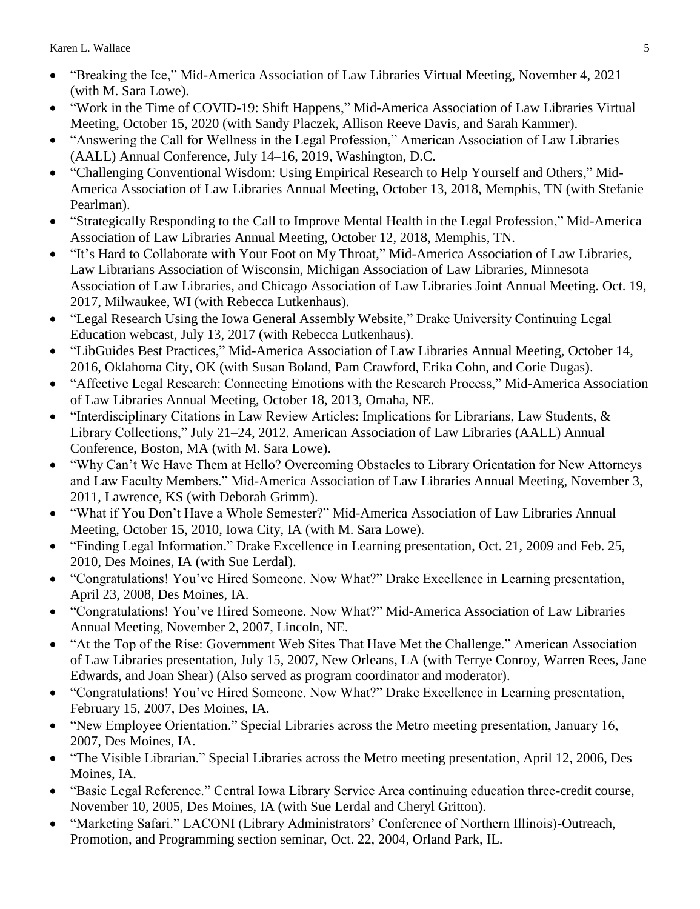- "Breaking the Ice," Mid-America Association of Law Libraries Virtual Meeting, November 4, 2021 (with M. Sara Lowe).
- "Work in the Time of COVID-19: Shift Happens," Mid-America Association of Law Libraries Virtual Meeting, October 15, 2020 (with Sandy Placzek, Allison Reeve Davis, and Sarah Kammer).
- "Answering the Call for Wellness in the Legal Profession," American Association of Law Libraries (AALL) Annual Conference, July 14–16, 2019, Washington, D.C.
- "Challenging Conventional Wisdom: Using Empirical Research to Help Yourself and Others," Mid-America Association of Law Libraries Annual Meeting, October 13, 2018, Memphis, TN (with Stefanie Pearlman).
- "Strategically Responding to the Call to Improve Mental Health in the Legal Profession," Mid-America Association of Law Libraries Annual Meeting, October 12, 2018, Memphis, TN.
- "It's Hard to Collaborate with Your Foot on My Throat," Mid-America Association of Law Libraries, Law Librarians Association of Wisconsin, Michigan Association of Law Libraries, Minnesota Association of Law Libraries, and Chicago Association of Law Libraries Joint Annual Meeting. Oct. 19, 2017, Milwaukee, WI (with Rebecca Lutkenhaus).
- "Legal Research Using the Iowa General Assembly Website," Drake University Continuing Legal Education webcast, July 13, 2017 (with Rebecca Lutkenhaus).
- "LibGuides Best Practices," Mid-America Association of Law Libraries Annual Meeting, October 14, 2016, Oklahoma City, OK (with Susan Boland, Pam Crawford, Erika Cohn, and Corie Dugas).
- "Affective Legal Research: Connecting Emotions with the Research Process," Mid-America Association of Law Libraries Annual Meeting, October 18, 2013, Omaha, NE.
- "Interdisciplinary Citations in Law Review Articles: Implications for Librarians, Law Students, & Library Collections," July 21–24, 2012. American Association of Law Libraries (AALL) Annual Conference, Boston, MA (with M. Sara Lowe).
- "Why Can't We Have Them at Hello? Overcoming Obstacles to Library Orientation for New Attorneys and Law Faculty Members." Mid-America Association of Law Libraries Annual Meeting, November 3, 2011, Lawrence, KS (with Deborah Grimm).
- "What if You Don't Have a Whole Semester?" Mid-America Association of Law Libraries Annual Meeting, October 15, 2010, Iowa City, IA (with M. Sara Lowe).
- "Finding Legal Information." Drake Excellence in Learning presentation, Oct. 21, 2009 and Feb. 25, 2010, Des Moines, IA (with Sue Lerdal).
- "Congratulations! You've Hired Someone. Now What?" Drake Excellence in Learning presentation, April 23, 2008, Des Moines, IA.
- "Congratulations! You've Hired Someone. Now What?" Mid-America Association of Law Libraries Annual Meeting, November 2, 2007, Lincoln, NE.
- "At the Top of the Rise: Government Web Sites That Have Met the Challenge." American Association of Law Libraries presentation, July 15, 2007, New Orleans, LA (with Terrye Conroy, Warren Rees, Jane Edwards, and Joan Shear) (Also served as program coordinator and moderator).
- "Congratulations! You've Hired Someone. Now What?" Drake Excellence in Learning presentation, February 15, 2007, Des Moines, IA.
- "New Employee Orientation." Special Libraries across the Metro meeting presentation, January 16, 2007, Des Moines, IA.
- "The Visible Librarian." Special Libraries across the Metro meeting presentation, April 12, 2006, Des Moines, IA.
- "Basic Legal Reference." Central Iowa Library Service Area continuing education three-credit course, November 10, 2005, Des Moines, IA (with Sue Lerdal and Cheryl Gritton).
- "Marketing Safari." LACONI (Library Administrators' Conference of Northern Illinois)-Outreach, Promotion, and Programming section seminar, Oct. 22, 2004, Orland Park, IL.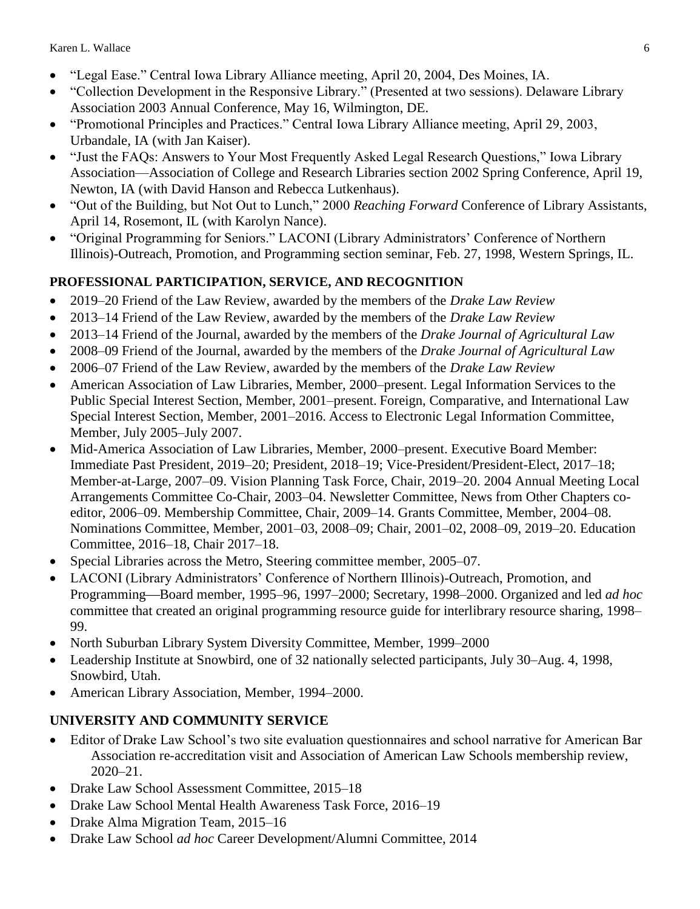- "Legal Ease." Central Iowa Library Alliance meeting, April 20, 2004, Des Moines, IA.
- "Collection Development in the Responsive Library." (Presented at two sessions). Delaware Library Association 2003 Annual Conference, May 16, Wilmington, DE.
- "Promotional Principles and Practices." Central Iowa Library Alliance meeting, April 29, 2003, Urbandale, IA (with Jan Kaiser).
- "Just the FAQs: Answers to Your Most Frequently Asked Legal Research Questions," Iowa Library Association—Association of College and Research Libraries section 2002 Spring Conference, April 19, Newton, IA (with David Hanson and Rebecca Lutkenhaus).
- "Out of the Building, but Not Out to Lunch," 2000 *Reaching Forward* Conference of Library Assistants, April 14, Rosemont, IL (with Karolyn Nance).
- "Original Programming for Seniors." LACONI (Library Administrators' Conference of Northern Illinois)-Outreach, Promotion, and Programming section seminar, Feb. 27, 1998, Western Springs, IL.

## **PROFESSIONAL PARTICIPATION, SERVICE, AND RECOGNITION**

- 2019–20 Friend of the Law Review, awarded by the members of the *Drake Law Review*
- 2013–14 Friend of the Law Review, awarded by the members of the *Drake Law Review*
- 2013–14 Friend of the Journal, awarded by the members of the *Drake Journal of Agricultural Law*
- 2008–09 Friend of the Journal, awarded by the members of the *Drake Journal of Agricultural Law*
- 2006–07 Friend of the Law Review, awarded by the members of the *Drake Law Review*
- American Association of Law Libraries, Member, 2000–present. Legal Information Services to the Public Special Interest Section, Member, 2001–present. Foreign, Comparative, and International Law Special Interest Section, Member, 2001–2016. Access to Electronic Legal Information Committee, Member, July 2005–July 2007.
- Mid-America Association of Law Libraries, Member, 2000–present. Executive Board Member: Immediate Past President, 2019–20; President, 2018–19; Vice-President/President-Elect, 2017–18; Member-at-Large, 2007–09. Vision Planning Task Force, Chair, 2019–20. 2004 Annual Meeting Local Arrangements Committee Co-Chair, 2003–04. Newsletter Committee, News from Other Chapters coeditor, 2006–09. Membership Committee, Chair, 2009–14. Grants Committee, Member, 2004–08. Nominations Committee, Member, 2001–03, 2008–09; Chair, 2001–02, 2008–09, 2019–20. Education Committee, 2016–18, Chair 2017–18.
- Special Libraries across the Metro, Steering committee member, 2005–07.
- LACONI (Library Administrators' Conference of Northern Illinois)-Outreach, Promotion, and Programming—Board member, 1995–96, 1997–2000; Secretary, 1998–2000. Organized and led *ad hoc* committee that created an original programming resource guide for interlibrary resource sharing, 1998– 99.
- North Suburban Library System Diversity Committee, Member, 1999–2000
- Leadership Institute at Snowbird, one of 32 nationally selected participants, July 30–Aug. 4, 1998, Snowbird, Utah.
- American Library Association, Member, 1994–2000.

# **UNIVERSITY AND COMMUNITY SERVICE**

- Editor of Drake Law School's two site evaluation questionnaires and school narrative for American Bar Association re-accreditation visit and Association of American Law Schools membership review, 2020–21.
- Drake Law School Assessment Committee, 2015–18
- Drake Law School Mental Health Awareness Task Force, 2016–19
- Drake Alma Migration Team, 2015–16
- Drake Law School *ad hoc* Career Development/Alumni Committee, 2014